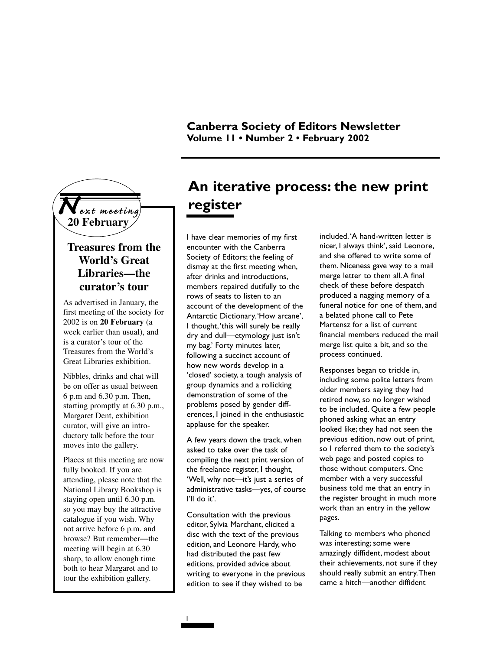

### **Treasures from the World's Great Libraries—the curator's tour**

As advertised in January, the first meeting of the society for 2002 is on **20 February** (a week earlier than usual), and is a curator's tour of the Treasures from the World's Great Libraries exhibition.

Nibbles, drinks and chat will be on offer as usual between 6 p.m and 6.30 p.m. Then, starting promptly at 6.30 p.m., Margaret Dent, exhibition curator, will give an introductory talk before the tour moves into the gallery.

Places at this meeting are now fully booked. If you are attending, please note that the National Library Bookshop is staying open until 6.30 p.m. so you may buy the attractive catalogue if you wish. Why not arrive before 6 p.m. and browse? But remember—the meeting will begin at 6.30 sharp, to allow enough time both to hear Margaret and to tour the exhibition gallery.

## **An iterative process: the new print register**

I have clear memories of my first encounter with the Canberra Society of Editors; the feeling of dismay at the first meeting when, after drinks and introductions, members repaired dutifully to the rows of seats to listen to an account of the development of the Antarctic Dictionary.'How arcane', I thought,'this will surely be really dry and dull—etymology just isn't my bag.' Forty minutes later, following a succinct account of how new words develop in a 'closed' society, a tough analysis of group dynamics and a rollicking demonstration of some of the problems posed by gender differences, I joined in the enthusiastic applause for the speaker.

A few years down the track, when asked to take over the task of compiling the next print version of the freelance register, I thought, 'Well, why not—it's just a series of administrative tasks—yes, of course I'll do it'.

Consultation with the previous editor, Sylvia Marchant, elicited a disc with the text of the previous edition, and Leonore Hardy, who had distributed the past few editions, provided advice about writing to everyone in the previous edition to see if they wished to be

1

included.'A hand-written letter is nicer, I always think', said Leonore, and she offered to write some of them. Niceness gave way to a mail merge letter to them all.A final check of these before despatch produced a nagging memory of a funeral notice for one of them, and a belated phone call to Pete Martensz for a list of current financial members reduced the mail merge list quite a bit, and so the process continued.

Responses began to trickle in, including some polite letters from older members saying they had retired now, so no longer wished to be included. Quite a few people phoned asking what an entry looked like; they had not seen the previous edition, now out of print, so I referred them to the society's web page and posted copies to those without computers. One member with a very successful business told me that an entry in the register brought in much more work than an entry in the yellow pages.

Talking to members who phoned was interesting; some were amazingly diffident, modest about their achievements, not sure if they should really submit an entry.Then came a hitch—another diffident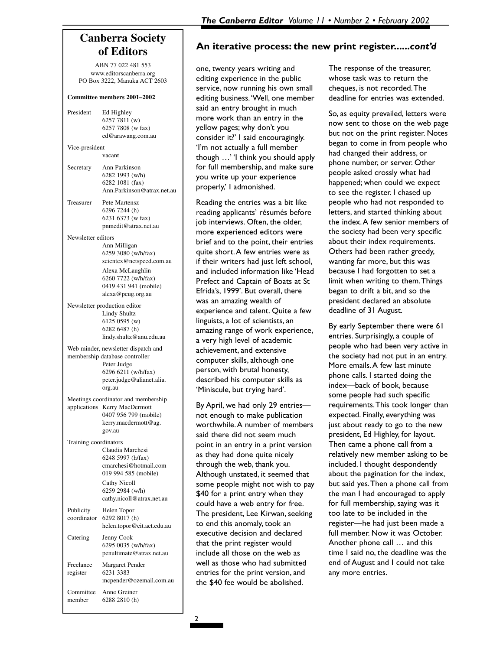## **Canberra Society of Editors**

ABN 77 022 481 553 www.editorscanberra.org PO Box 3222, Manuka ACT 2603

#### **Committee members 2001–2002**

President Ed Highley 6257 7811 (w) 6257 7808 (w fax) ed@arawang.com.au Vice-president vacant Secretary Ann Parkinson 6282 1993 (w/h) 6282 1081 (fax) Ann.Parkinson@atrax.net.au Treasurer Pete Martensz 6296 7244 (h) 6231 6373 (w fax) pnmedit@atrax.net.au Newsletter editors Ann Milligan 6259 3080 (w/h/fax) scientex@netspeed.com.au Alexa McLaughlin 6260 7722 (w/h/fax) 0419 431 941 (mobile) alexa@pcug.org.au Newsletter production editor Lindy Shultz 6125 0595 (w) 6282 6487 (h) lindy.shultz@anu.edu.au Web minder, newsletter dispatch and membership database controller Peter Judge 6296 6211 (w/h/fax) peter.judge@alianet.alia. org.au Meetings coordinator and membership applications Kerry MacDermott 0407 956 799 (mobile) kerry.macdermott@ag. gov.au Training coordinators Claudia Marchesi 6248 5997 (h/fax) cmarchesi@hotmail.com 019 994 585 (mobile) Cathy Nicoll 6259 2984 (w/h) cathy.nicoll@atrax.net.au Publicity Helen Topor<br>coordinator 6292 8017 (b 6292 8017 (h) helen.topor@cit.act.edu.au Catering Jenny Cook 6295 0035 (w/h/fax) penultimate@atrax.net.au Freelance Margaret Pender register 6231 3383 mcpender@ozemail.com.au Committee Anne Greiner member 6288 2810 (h)

### **An iterative process: the new print register......***cont'd*

one, twenty years writing and editing experience in the public service, now running his own small editing business.'Well, one member said an entry brought in much more work than an entry in the yellow pages; why don't you consider it?' I said encouragingly. 'I'm not actually a full member though …' 'I think you should apply for full membership, and make sure you write up your experience properly,' I admonished.

Reading the entries was a bit like reading applicants' résumés before job interviews. Often, the older, more experienced editors were brief and to the point, their entries quite short.A few entries were as if their writers had just left school, and included information like 'Head Prefect and Captain of Boats at St Efrida's, 1999'. But overall, there was an amazing wealth of experience and talent. Quite a few linguists, a lot of scientists, an amazing range of work experience, a very high level of academic achievement, and extensive computer skills, although one person, with brutal honesty, described his computer skills as 'Miniscule, but trying hard'.

By April, we had only 29 entries not enough to make publication worthwhile.A number of members said there did not seem much point in an entry in a print version as they had done quite nicely through the web, thank you. Although unstated, it seemed that some people might not wish to pay \$40 for a print entry when they could have a web entry for free. The president, Lee Kirwan, seeking to end this anomaly, took an executive decision and declared that the print register would include all those on the web as well as those who had submitted entries for the print version, and the \$40 fee would be abolished.

The response of the treasurer, whose task was to return the cheques, is not recorded.The deadline for entries was extended.

So, as equity prevailed, letters were now sent to those on the web page but not on the print register. Notes began to come in from people who had changed their address, or phone number, or server. Other people asked crossly what had happened; when could we expect to see the register. I chased up people who had not responded to letters, and started thinking about the index.A few senior members of the society had been very specific about their index requirements. Others had been rather greedy, wanting far more, but this was because I had forgotten to set a limit when writing to them.Things began to drift a bit, and so the president declared an absolute deadline of 31 August.

By early September there were 61 entries. Surprisingly, a couple of people who had been very active in the society had not put in an entry. More emails.A few last minute phone calls. I started doing the index—back of book, because some people had such specific requirements.This took longer than expected. Finally, everything was just about ready to go to the new president, Ed Highley, for layout. Then came a phone call from a relatively new member asking to be included. I thought despondently about the pagination for the index, but said yes.Then a phone call from the man I had encouraged to apply for full membership, saying was it too late to be included in the register—he had just been made a full member. Now it was October. Another phone call … and this time I said no, the deadline was the end of August and I could not take any more entries.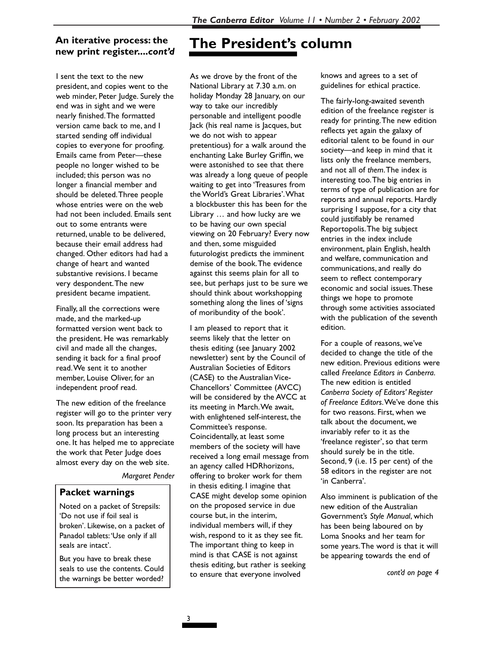# **new print register....***cont'd*

I sent the text to the new president, and copies went to the web minder, Peter Judge. Surely the end was in sight and we were nearly finished.The formatted version came back to me, and I started sending off individual copies to everyone for proofing. Emails came from Peter—these people no longer wished to be included; this person was no longer a financial member and should be deleted.Three people whose entries were on the web had not been included. Emails sent out to some entrants were returned, unable to be delivered, because their email address had changed. Other editors had had a change of heart and wanted substantive revisions. I became very despondent.The new president became impatient.

Finally, all the corrections were made, and the marked-up formatted version went back to the president. He was remarkably civil and made all the changes, sending it back for a final proof read.We sent it to another member, Louise Oliver, for an independent proof read.

The new edition of the freelance register will go to the printer very soon. Its preparation has been a long process but an interesting one. It has helped me to appreciate the work that Peter Judge does almost every day on the web site.

#### *Margaret Pender*

### **Packet warnings**

Noted on a packet of Strepsils: 'Do not use if foil seal is broken'. Likewise, on a packet of Panadol tablets:'Use only if all seals are intact'.

But you have to break these seals to use the contents. Could the warnings be better worded?

## **The President's column An iterative process: the**

As we drove by the front of the National Library at 7.30 a.m. on holiday Monday 28 January, on our way to take our incredibly personable and intelligent poodle Jack (his real name is Jacques, but we do not wish to appear pretentious) for a walk around the enchanting Lake Burley Griffin, we were astonished to see that there was already a long queue of people waiting to get into 'Treasures from the World's Great Libraries'.What a blockbuster this has been for the Library … and how lucky are we to be having our own special viewing on 20 February? Every now and then, some misguided futurologist predicts the imminent demise of the book.The evidence against this seems plain for all to see, but perhaps just to be sure we should think about workshopping something along the lines of 'signs of moribundity of the book'.

I am pleased to report that it seems likely that the letter on thesis editing (see January 2002 newsletter) sent by the Council of Australian Societies of Editors (CASE) to the Australian Vice-Chancellors' Committee (AVCC) will be considered by the AVCC at its meeting in March.We await, with enlightened self-interest, the Committee's response. Coincidentally, at least some members of the society will have received a long email message from an agency called HDRhorizons, offering to broker work for them in thesis editing. I imagine that CASE might develop some opinion on the proposed service in due course but, in the interim, individual members will, if they wish, respond to it as they see fit. The important thing to keep in mind is that CASE is not against thesis editing, but rather is seeking to ensure that everyone involved

knows and agrees to a set of guidelines for ethical practice.

The fairly-long-awaited seventh edition of the freelance register is ready for printing.The new edition reflects yet again the galaxy of editorial talent to be found in our society—and keep in mind that it lists only the freelance members, and not all of *them*.The index is interesting too.The big entries in terms of type of publication are for reports and annual reports. Hardly surprising I suppose, for a city that could justifiably be renamed Reportopolis.The big subject entries in the index include environment, plain English, health and welfare, communication and communications, and really do seem to reflect contemporary economic and social issues.These things we hope to promote through some activities associated with the publication of the seventh edition.

For a couple of reasons, we've decided to change the title of the new edition. Previous editions were called *Freelance Editors in Canberra*. The new edition is entitled *Canberra Society of Editors' Register of Freelance Editors*.We've done this for two reasons. First, when we talk about the document, we invariably refer to it as the 'freelance register', so that term should surely be in the title. Second, 9 (i.e. 15 per cent) of the 58 editors in the register are not 'in Canberra'.

Also imminent is publication of the new edition of the Australian Government's *Style Manual*, which has been being laboured on by Loma Snooks and her team for some years.The word is that it will be appearing towards the end of

*cont'd on page 4*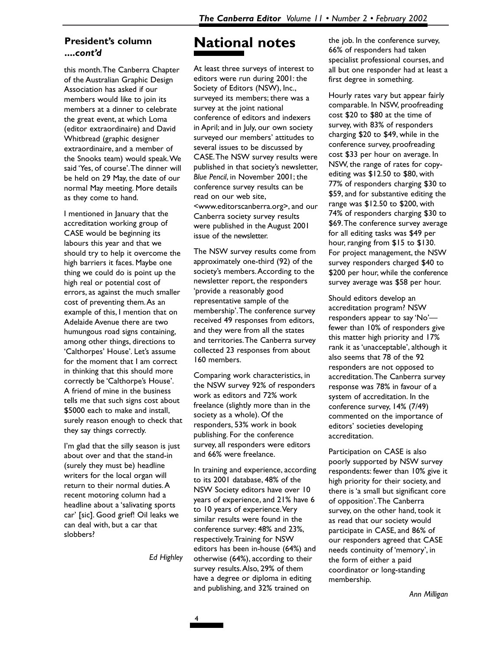### **President's column ....***cont'd*

this month.The Canberra Chapter of the Australian Graphic Design Association has asked if our members would like to join its members at a dinner to celebrate the great event, at which Loma (editor extraordinaire) and David Whitbread (graphic designer extraordinaire, and a member of the Snooks team) would speak.We said 'Yes, of course'.The dinner will be held on 29 May, the date of our normal May meeting. More details as they come to hand.

I mentioned in January that the accreditation working group of CASE would be beginning its labours this year and that we should try to help it overcome the high barriers it faces. Maybe one thing we could do is point up the high real or potential cost of errors, as against the much smaller cost of preventing them.As an example of this, I mention that on Adelaide Avenue there are two humungous road signs containing, among other things, directions to 'Calthorpes' House'. Let's assume for the moment that I am correct in thinking that this should more correctly be 'Calthorpe's House'. A friend of mine in the business tells me that such signs cost about \$5000 each to make and install, surely reason enough to check that they say things correctly.

I'm glad that the silly season is just about over and that the stand-in (surely they must be) headline writers for the local organ will return to their normal duties.A recent motoring column had a headline about a 'salivating sports car' [sic]. Good grief! Oil leaks we can deal with, but a car that slobbers?

*Ed Highley*

## **National notes**

At least three surveys of interest to editors were run during 2001: the Society of Editors (NSW), Inc., surveyed its members; there was a survey at the joint national conference of editors and indexers in April; and in July, our own society surveyed our members' attitudes to several issues to be discussed by CASE.The NSW survey results were published in that society's newsletter, *Blue Pencil*, in November 2001; the conference survey results can be read on our web site, <www.editorscanberra.org>, and our Canberra society survey results were published in the August 2001 issue of the newsletter.

The NSW survey results come from approximately one-third (92) of the society's members.According to the newsletter report, the responders 'provide a reasonably good representative sample of the membership'.The conference survey received 49 responses from editors, and they were from all the states and territories.The Canberra survey collected 23 responses from about 160 members.

Comparing work characteristics, in the NSW survey 92% of responders work as editors and 72% work freelance (slightly more than in the society as a whole). Of the responders, 53% work in book publishing. For the conference survey, all responders were editors and 66% were freelance.

In training and experience, according to its 2001 database, 48% of the NSW Society editors have over 10 years of experience, and 21% have 6 to 10 years of experience.Very similar results were found in the conference survey: 48% and 23%, respectively.Training for NSW editors has been in-house (64%) and otherwise (64%), according to their survey results.Also, 29% of them have a degree or diploma in editing and publishing, and 32% trained on

the job. In the conference survey, 66% of responders had taken specialist professional courses, and all but one responder had at least a first degree in something.

Hourly rates vary but appear fairly comparable. In NSW, proofreading cost \$20 to \$80 at the time of survey, with 83% of responders charging \$20 to \$49, while in the conference survey, proofreading cost \$33 per hour on average. In NSW, the range of rates for copyediting was \$12.50 to \$80, with 77% of responders charging \$30 to \$59, and for substantive editing the range was \$12.50 to \$200, with 74% of responders charging \$30 to \$69.The conference survey average for all editing tasks was \$49 per hour, ranging from \$15 to \$130. For project management, the NSW survey responders charged \$40 to \$200 per hour, while the conference survey average was \$58 per hour.

Should editors develop an accreditation program? NSW responders appear to say 'No' fewer than 10% of responders give this matter high priority and 17% rank it as 'unacceptable', although it also seems that 78 of the 92 responders are not opposed to accreditation.The Canberra survey response was 78% in favour of a system of accreditation. In the conference survey, 14% (7/49) commented on the importance of editors' societies developing accreditation.

Participation on CASE is also poorly supported by NSW survey respondents: fewer than 10% give it high priority for their society, and there is 'a small but significant core of opposition'.The Canberra survey, on the other hand, took it as read that our society would participate in CASE, and 86% of our responders agreed that CASE needs continuity of 'memory', in the form of either a paid coordinator or long-standing membership.

*Ann Milligan*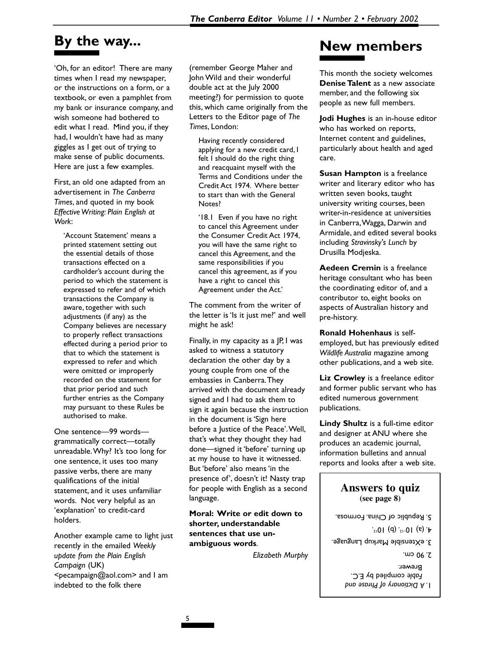## **By the way...**

'Oh, for an editor! There are many times when I read my newspaper, or the instructions on a form, or a textbook, or even a pamphlet from my bank or insurance company, and wish someone had bothered to edit what I read. Mind you, if they had, I wouldn't have had as many giggles as I get out of trying to make sense of public documents. Here are just a few examples.

First, an old one adapted from an advertisement in *The Canberra Times*, and quoted in my book *Effective Writing: Plain English at Work*:

'Account Statement' means a printed statement setting out the essential details of those transactions effected on a cardholder's account during the period to which the statement is expressed to refer and of which transactions the Company is aware, together with such adjustments (if any) as the Company believes are necessary to properly reflect transactions effected during a period prior to that to which the statement is expressed to refer and which were omitted or improperly recorded on the statement for that prior period and such further entries as the Company may pursuant to these Rules be authorised to make.

One sentence—99 words grammatically correct—totally unreadable.Why? It's too long for one sentence, it uses too many passive verbs, there are many qualifications of the initial statement, and it uses unfamiliar words. Not very helpful as an 'explanation' to credit-card holders.

Another example came to light just recently in the emailed *Weekly update from the Plain English Campaign* (UK) <pecampaign@aol.com> and I am indebted to the folk there

(remember George Maher and John Wild and their wonderful double act at the July 2000 meeting?) for permission to quote this, which came originally from the Letters to the Editor page of *The Times*, London:

Having recently considered applying for a new credit card, I felt I should do the right thing and reacquaint myself with the Terms and Conditions under the Credit Act 1974. Where better to start than with the General Notes?

'18.1 Even if you have no right to cancel this Agreement under the Consumer Credit Act 1974, you will have the same right to cancel this Agreement, and the same responsibilities if you cancel this agreement, as if you have a right to cancel this Agreement under the Act.'

The comment from the writer of the letter is 'Is it just me?' and well might he ask!

Finally, in my capacity as a JP, I was asked to witness a statutory declaration the other day by a young couple from one of the embassies in Canberra.They arrived with the document already signed and I had to ask them to sign it again because the instruction in the document is 'Sign here before a Justice of the Peace'.Well, that's what they thought they had done—signed it 'before' turning up at my house to have it witnessed. But 'before' also means 'in the presence of', doesn't it! Nasty trap for people with English as a second language.

**Moral: Write or edit down to shorter, understandable sentences that use unambiguous words**.

*Elizabeth Murphy*

## **New members**

This month the society welcomes **Denise Talent** as a new associate member, and the following six people as new full members.

**Jodi Hughes** is an in-house editor who has worked on reports, Internet content and guidelines, particularly about health and aged care.

**Susan Hampton** is a freelance writer and literary editor who has written seven books, taught university writing courses, been writer-in-residence at universities in Canberra,Wagga, Darwin and Armidale, and edited several books including *Stravinsky's Lunch* by Drusilla Modjeska.

**Aedeen Cremin** is a freelance heritage consultant who has been the coordinating editor of, and a contributor to, eight books on aspects of Australian history and pre-history.

**Ronald Hohenhaus** is selfemployed, but has previously edited *Wildlife Australia* magazine among other publications, and a web site.

**Liz Crowley** is a freelance editor and former public servant who has edited numerous government publications.

**Lindy Shultz** is a full-time editor and designer at ANU where she produces an academic journal, information bulletins and annual reports and looks after a web site.

### **Answers to quiz (see page 8)**

- 5. Republic of China. Formosa.
	- $\star$  (a) 10<sup>-12</sup> (b) 10<sup>12</sup>.
- 3. eXtensible Markup Language.
	- *A Dictionary of Phrase and* 1. compiled by E.C. *able F* Brewer. 2. 90 cm.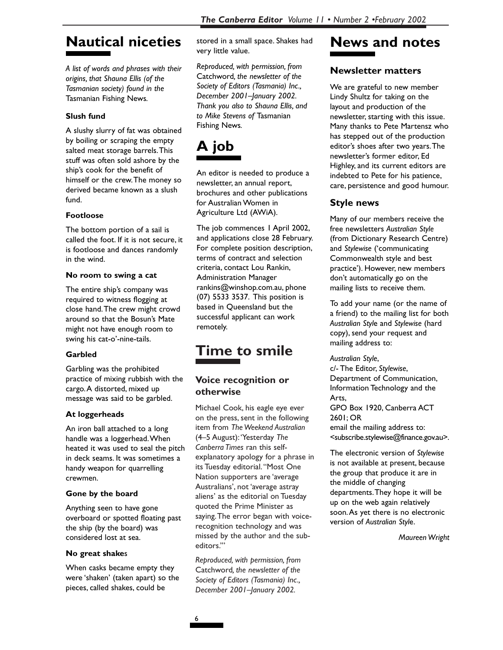## **Nautical niceties**

*A list of words and phrases with their origins, that Shauna Ellis (of the Tasmanian society) found in the* Tasmanian Fishing News*.*

### **Slush fund**

A slushy slurry of fat was obtained by boiling or scraping the empty salted meat storage barrels.This stuff was often sold ashore by the ship's cook for the benefit of himself or the crew.The money so derived became known as a slush fund.

### **Footloose**

The bottom portion of a sail is called the foot. If it is not secure, it is footloose and dances randomly in the wind.

### **No room to swing a cat**

The entire ship's company was required to witness flogging at close hand.The crew might crowd around so that the Bosun's Mate might not have enough room to swing his cat-o'-nine-tails.

### **Garbled**

Garbling was the prohibited practice of mixing rubbish with the cargo.A distorted, mixed up message was said to be garbled.

### **At loggerheads**

An iron ball attached to a long handle was a loggerhead.When heated it was used to seal the pitch in deck seams. It was sometimes a handy weapon for quarrelling crewmen.

### **Gone by the board**

Anything seen to have gone overboard or spotted floating past the ship (by the board) was considered lost at sea.

### **No great shake**s

When casks became empty they were 'shaken' (taken apart) so the pieces, called shakes, could be

stored in a small space. Shakes had very little value.

*Reproduced, with permission, from* Catchword*, the newsletter of the Society of Editors (Tasmania) Inc., December 2001–January 2002. Thank you also to Shauna Ellis, and to Mike Stevens of* Tasmanian Fishing News*.*

# **A job**

An editor is needed to produce a newsletter, an annual report, brochures and other publications for Australian Women in Agriculture Ltd (AWiA).

The job commences 1 April 2002, and applications close 28 February. For complete position description, terms of contract and selection criteria, contact Lou Rankin, Administration Manager rankins@winshop.com.au, phone (07) 5533 3537. This position is based in Queensland but the successful applicant can work remotely.

## **Time to smile**

### **Voice recognition or otherwise**

Michael Cook, his eagle eye ever on the press, sent in the following item from *The Weekend Australian* (4–5 August):'Yesterday *The Canberra Times* ran this selfexplanatory apology for a phrase in its Tuesday editorial.''Most One Nation supporters are 'average Australians', not 'average astray aliens' as the editorial on Tuesday quoted the Prime Minister as saying.The error began with voicerecognition technology and was missed by the author and the subeditors.'''

*Reproduced, with permission, from* Catchword*, the newsletter of the Society of Editors (Tasmania) Inc., December 2001–January 2002.*

# **News and notes**

### **Newsletter matters**

We are grateful to new member Lindy Shultz for taking on the layout and production of the newsletter, starting with this issue. Many thanks to Pete Martensz who has stepped out of the production editor's shoes after two years.The newsletter's former editor, Ed Highley, and its current editors are indebted to Pete for his patience, care, persistence and good humour.

### **Style news**

Many of our members receive the free newsletters *Australian Style* (from Dictionary Research Centre) and *Stylewise* ('communicating Commonwealth style and best practice'). However, new members don't automatically go on the mailing lists to receive them.

To add your name (or the name of a friend) to the mailing list for both *Australian Styl*e and *Stylewise* (hard copy), send your request and mailing address to:

*Australian Style*, c/- The Editor, *Stylewise*, Department of Communication, Information Technology and the Arts, GPO Box 1920, Canberra ACT 2601; OR email the mailing address to: <subscribe.stylewise@finance.gov.au>.

The electronic version of *Stylewise* is not available at present, because the group that produce it are in the middle of changing departments.They hope it will be up on the web again relatively soon.As yet there is no electronic version of *Australian Styl*e.

*Maureen Wright*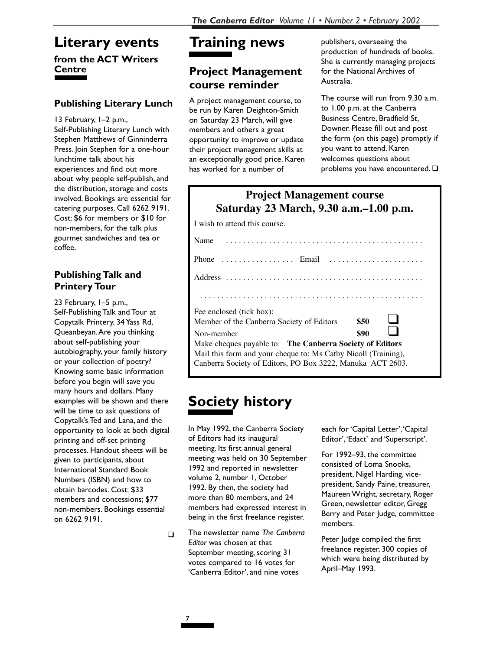## **Literary events**

### **from the ACT Writers Centre**

### **Publishing Literary Lunch**

13 February, 1–2 p.m., Self-Publishing Literary Lunch with Stephen Matthews of Ginninderra Press. Join Stephen for a one-hour lunchtime talk about his experiences and find out more about why people self-publish, and the distribution, storage and costs involved. Bookings are essential for catering purposes. Call 6262 9191. Cost: \$6 for members or \$10 for non-members, for the talk plus gourmet sandwiches and tea or coffee.

### **Publishing Talk and Printery Tour**

23 February, 1–5 p.m., Self-Publishing Talk and Tour at Copytalk Printery, 34 Yass Rd, Queanbeyan.Are you thinking about self-publishing your autobiography, your family history or your collection of poetry? Knowing some basic information before you begin will save you many hours and dollars. Many examples will be shown and there will be time to ask questions of Copytalk's Ted and Lana, and the opportunity to look at both digital printing and off-set printing processes. Handout sheets will be given to participants, about International Standard Book Numbers (ISBN) and how to obtain barcodes. Cost: \$33 members and concessions; \$77 non-members. Bookings essential on 6262 9191.

# **Training news**

## **Project Management course reminder**

A project management course, to be run by Karen Deighton-Smith on Saturday 23 March, will give members and others a great opportunity to improve or update their project management skills at an exceptionally good price. Karen has worked for a number of

publishers, overseeing the production of hundreds of books. She is currently managing projects for the National Archives of Australia.

The course will run from 9.30 a.m. to 1.00 p.m. at the Canberra Business Centre, Bradfield St, Downer. Please fill out and post the form (on this page) promptly if you want to attend. Karen welcomes questions about problems you have encountered. ❑

| <b>Project Management course</b><br>Saturday 23 March, 9.30 a.m.–1.00 p.m.                   |      |
|----------------------------------------------------------------------------------------------|------|
| I wish to attend this course.                                                                |      |
| Name<br>.                                                                                    |      |
| Phone $\ldots \ldots \ldots \ldots \ldots$ Email $\ldots \ldots \ldots \ldots \ldots \ldots$ |      |
|                                                                                              |      |
|                                                                                              |      |
| Fee enclosed (tick box):                                                                     |      |
| Member of the Canberra Society of Editors                                                    | \$50 |
| Non-member                                                                                   | \$90 |
| Make cheques payable to: The Canberra Society of Editors                                     |      |
| Mail this form and your cheque to: Ms Cathy Nicoll (Training),                               |      |
| Canberra Society of Editors, PO Box 3222, Manuka ACT 2603.                                   |      |

# **Society history**

In May 1992, the Canberra Society of Editors had its inaugural meeting. Its first annual general meeting was held on 30 September 1992 and reported in newsletter volume 2, number 1, October 1992. By then, the society had more than 80 members, and 24 members had expressed interest in being in the first freelance register.

❑ The newsletter name *The Canberra Editor* was chosen at that September meeting, scoring 31 votes compared to 16 votes for 'Canberra Editor', and nine votes

each for 'Capital Letter', 'Capital Editor','Edact' and 'Superscript'.

For 1992–93, the committee consisted of Loma Snooks, president, Nigel Harding, vicepresident, Sandy Paine, treasurer, Maureen Wright, secretary, Roger Green, newsletter editor, Gregg Berry and Peter Judge, committee members.

Peter Judge compiled the first freelance register, 300 copies of which were being distributed by April–May 1993.